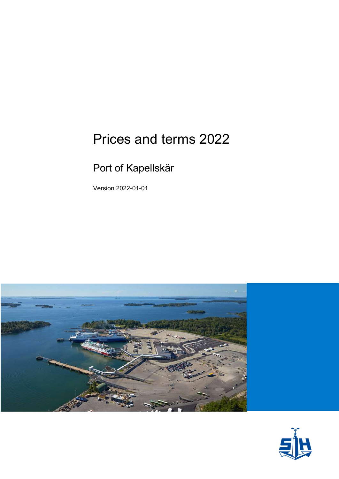# Prices and terms 2022

## Port of Kapellskär

Version 2022-01-01



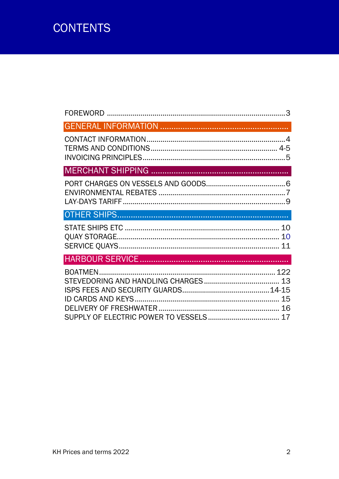## **CONTENTS**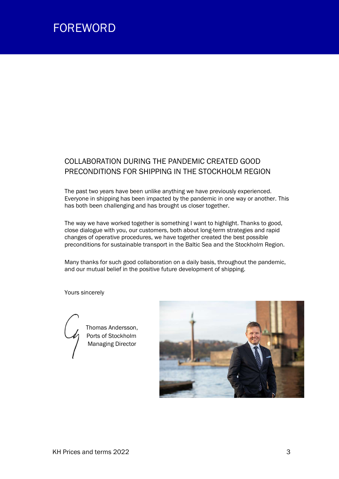

### COLLABORATION DURING THE PANDEMIC CREATED GOOD PRECONDITIONS FOR SHIPPING IN THE STOCKHOLM REGION

The past two years have been unlike anything we have previously experienced. Everyone in shipping has been impacted by the pandemic in one way or another. This has both been challenging and has brought us closer together.

The way we have worked together is something I want to highlight. Thanks to good, close dialogue with you, our customers, both about long-term strategies and rapid changes of operative procedures, we have together created the best possible preconditions for sustainable transport in the Baltic Sea and the Stockholm Region.

Many thanks for such good collaboration on a daily basis, throughout the pandemic, and our mutual belief in the positive future development of shipping.

Yours sincerely



 Thomas Andersson, Ports of Stockholm **Managing Director** 

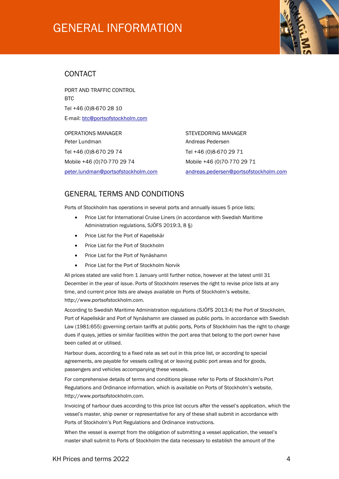## GENERAL INFORMATION



#### CONTACT

PORT AND TRAFFIC CONTROL RTC. Tel +46 (0)8-670 28 10 E-mail: btc@portsofstockholm.com

OPERATIONS MANAGER STEVEDORING MANAGER Peter Lundman and a controller and a material and a Andreas Pedersen Tel +46 (0)8-670 29 74 Tel +46 (0)8-670 29 71 Mobile +46 (0)70-770 29 74 Mobile +46 (0)70-770 29 71

peter.lundman@portsofstockholm.com andreas.pedersen@portsofstockholm.com

#### GENERAL TERMS AND CONDITIONS

Ports of Stockholm has operations in several ports and annually issues 5 price lists;

- Price List for International Cruise Liners (in accordance with Swedish Maritime Administration regulations, SJÖFS 2019:3, 8 §)
- Price List for the Port of Kapellskär
- Price List for the Port of Stockholm
- Price List for the Port of Nynäshamn
- Price List for the Port of Stockholm Norvik

All prices stated are valid from 1 January until further notice, however at the latest until 31 December in the year of issue. Ports of Stockholm reserves the right to revise price lists at any time, and current price lists are always available on Ports of Stockholm's website, http://www.portsofstockholm.com.

According to Swedish Maritime Administration regulations (SJÖFS 2013:4) the Port of Stockholm, Port of Kapellskär and Port of Nynäshamn are classed as public ports. In accordance with Swedish Law (1981:655) governing certain tariffs at public ports, Ports of Stockholm has the right to charge dues if quays, jetties or similar facilities within the port area that belong to the port owner have been called at or utilised.

Harbour dues, according to a fixed rate as set out in this price list, or according to special agreements, are payable for vessels calling at or leaving public port areas and for goods, passengers and vehicles accompanying these vessels.

For comprehensive details of terms and conditions please refer to Ports of Stockholm's Port Regulations and Ordinance information, which is available on Ports of Stockholm's website, http://www.portsofstockholm.com.

Invoicing of harbour dues according to this price list occurs after the vessel's application, which the vessel's master, ship owner or representative for any of these shall submit in accordance with Ports of Stockholm's Port Regulations and Ordinance instructions.

When the vessel is exempt from the obligation of submitting a vessel application, the vessel's master shall submit to Ports of Stockholm the data necessary to establish the amount of the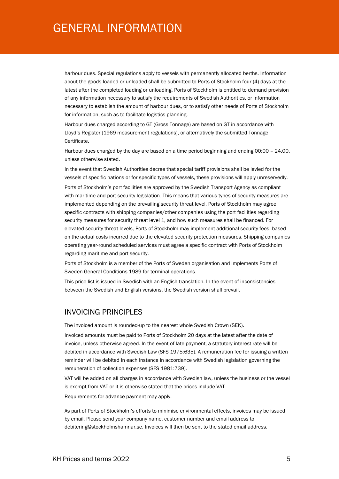### GENERAL INFORMATION

harbour dues. Special regulations apply to vessels with permanently allocated berths. Information about the goods loaded or unloaded shall be submitted to Ports of Stockholm four (4) days at the latest after the completed loading or unloading. Ports of Stockholm is entitled to demand provision of any information necessary to satisfy the requirements of Swedish Authorities, or information necessary to establish the amount of harbour dues, or to satisfy other needs of Ports of Stockholm for information, such as to facilitate logistics planning.

Harbour dues charged according to GT (Gross Tonnage) are based on GT in accordance with Lloyd's Register (1969 measurement regulations), or alternatively the submitted Tonnage Certificate.

Harbour dues charged by the day are based on a time period beginning and ending 00:00 – 24.00, unless otherwise stated.

In the event that Swedish Authorities decree that special tariff provisions shall be levied for the vessels of specific nations or for specific types of vessels, these provisions will apply unreservedly.

Ports of Stockholm's port facilities are approved by the Swedish Transport Agency as compliant with maritime and port security legislation. This means that various types of security measures are implemented depending on the prevailing security threat level. Ports of Stockholm may agree specific contracts with shipping companies/other companies using the port facilities regarding security measures for security threat level 1, and how such measures shall be financed. For elevated security threat levels, Ports of Stockholm may implement additional security fees, based on the actual costs incurred due to the elevated security protection measures. Shipping companies operating year-round scheduled services must agree a specific contract with Ports of Stockholm regarding maritime and port security.

Ports of Stockholm is a member of the Ports of Sweden organisation and implements Ports of Sweden General Conditions 1989 for terminal operations.

This price list is issued in Swedish with an English translation. In the event of inconsistencies between the Swedish and English versions, the Swedish version shall prevail.

#### INVOICING PRINCIPLES

The invoiced amount is rounded-up to the nearest whole Swedish Crown (SEK).

Invoiced amounts must be paid to Ports of Stockholm 20 days at the latest after the date of invoice, unless otherwise agreed. In the event of late payment, a statutory interest rate will be debited in accordance with Swedish Law (SFS 1975:635). A remuneration fee for issuing a written reminder will be debited in each instance in accordance with Swedish legislation governing the remuneration of collection expenses (SFS 1981:739).

VAT will be added on all charges in accordance with Swedish law, unless the business or the vessel is exempt from VAT or it is otherwise stated that the prices include VAT.

Requirements for advance payment may apply.

As part of Ports of Stockholm's efforts to minimise environmental effects, invoices may be issued by email. Please send your company name, customer number and email address to debitering@stockholmshamnar.se. Invoices will then be sent to the stated email address.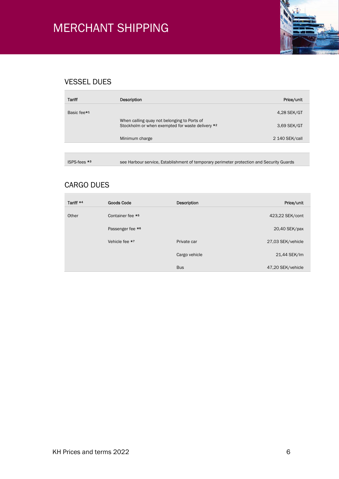

### VESSEL DUES

| Tariff                  | Description                                                                                     | Price/unit     |
|-------------------------|-------------------------------------------------------------------------------------------------|----------------|
|                         |                                                                                                 |                |
| Basic fee <sup>*1</sup> |                                                                                                 | 4,28 SEK/GT    |
|                         | When calling quay not belonging to Ports of<br>Stockholm or when exempted for waste delivery *2 | 3,69 SEK/GT    |
|                         | Minimum charge                                                                                  | 2 140 SEK/call |
|                         |                                                                                                 |                |
| ISPS-fees *3            | see Harbour service, Establishment of temporary perimeter protection and Security Guards        |                |

#### CARGO DUES

| Tariff *4 | <b>Goods Code</b> | Description   | Price/unit        |
|-----------|-------------------|---------------|-------------------|
| Other     | Container fee *5  |               | 423,22 SEK/cont   |
|           | Passenger fee *6  |               | 20,40 SEK/pax     |
|           | Vehicle fee *7    | Private car   | 27,03 SEK/vehicle |
|           |                   | Cargo vehicle | 21,44 SEK/lm      |
|           |                   | <b>Bus</b>    | 47,20 SEK/vehicle |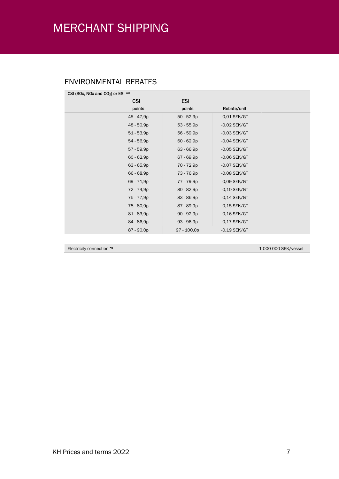### ENVIRONMENTAL REBATES

| CSI (SOx, NOx and CO <sub>2</sub> ) or ESI $*$ <sup>8</sup> |              |                |  |
|-------------------------------------------------------------|--------------|----------------|--|
| <b>CSI</b>                                                  | <b>ESI</b>   |                |  |
| points                                                      | points       | Rebate/unit    |  |
| 45 - 47,9p                                                  | $50 - 52,9p$ | $-0.01$ SEK/GT |  |
| 48 - 50,9p                                                  | $53 - 55,9p$ | $-0.02$ SEK/GT |  |
| $51 - 53,9p$                                                | $56 - 59,9p$ | $-0.03$ SEK/GT |  |
| $54 - 56,9p$                                                | $60 - 62,9p$ | $-0.04$ SEK/GT |  |
| 57 - 59,9p                                                  | $63 - 66,9p$ | $-0.05$ SEK/GT |  |
| $60 - 62,9p$                                                | 67 - 69,9p   | $-0,06$ SEK/GT |  |
| $63 - 65,9p$                                                | 70 - 72,9p   | $-0.07$ SEK/GT |  |
| 66 - 68,9p                                                  | 73 - 76,9p   | $-0.08$ SEK/GT |  |
| 69 - 71,9p                                                  | 77 - 79,9p   | $-0.09$ SEK/GT |  |
| 72 - 74,9p                                                  | $80 - 82,9p$ | $-0,10$ SEK/GT |  |
| 75 - 77,9p                                                  | $83 - 86,9p$ | $-0,14$ SEK/GT |  |
| 78 - 80,9p                                                  | 87 - 89,9p   | $-0,15$ SEK/GT |  |
| $81 - 83,9p$                                                | $90 - 92,9p$ | $-0,16$ SEK/GT |  |
| 84 - 86,9p                                                  | $93 - 96,9p$ | $-0,17$ SEK/GT |  |
| 87 - 90,0p                                                  | 97 - 100,0p  | $-0,19$ SEK/GT |  |

Electricity connection \*9 -1 000 000 SEK/vessel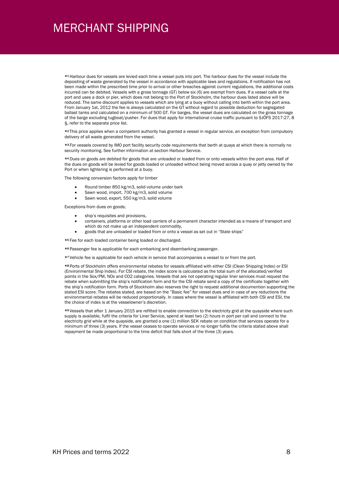\*<sup>1</sup> Harbour dues for vessels are levied each time a vessel puts into port. The harbour dues for the vessel include the depositing of waste generated by the vessel in accordance with applicable laws and regulations. If notification has not been made within the prescribed time prior to arrival or other breaches against current regulations, the additional costs incurred can be debited. Vessels with a gross tonnage (GT) below six (6) are exempt from dues. If a vessel calls at the port and uses a dock or pier, which does not belong to the Port of Stockholm, the harbour dues listed above will be reduced. The same discount applies to vessels which are lying at a buoy without calling into berth within the port area. From January 1st, 2012 the fee is always calculated on the GT without regard to possible deduction for segregated ballast tanks and calculated on a minimum of 500 GT. For barges, the vessel dues are calculated on the gross tonnage of the barge excluding tugboat/pusher. For dues that apply for international cruise traffic pursuant to SJÖFS 2017:27, 8 §, refer to the separate price list.

\*<sup>2</sup> This price applies when a competent authority has granted a vessel in regular service, an exception from compulsory delivery of all waste generated from the vessel.

\*<sup>3</sup> For vessels covered by IMO port facility security code requirements that berth at quays at which there is normally no security monitoring. See further information at section Harbour Service.

\*<sup>4</sup> Dues on goods are debited for goods that are unloaded or loaded from or onto vessels within the port area. Half of the dues on goods will be levied for goods loaded or unloaded without being moved across a quay or jetty owned by the Port or when lightering is performed at a buoy.

The following conversion factors apply for timber

- Round timber 850 kg/m3, solid volume under bark
- Sawn wood, import, 700 kg/m3, solid volume
- Sawn wood, export, 550 kg/m3, solid volume

Exceptions from dues on goods;

- ship's requisites and provisions,
- containers, platforms or other load carriers of a permanent character intended as a means of transport and which do not make up an independent commodity,
- goods that are unloaded or loaded from or onto a vessel as set out in "State ships"

\*<sup>5</sup> Fee for each loaded container being loaded or discharged.

\*<sup>6</sup> Passenger fee is applicable for each embarking and disembarking passenger.

\*<sup>7</sup> Vehicle fee is applicable for each vehicle in service that accompanies a vessel to or from the port.

\*<sup>8</sup> Ports of Stockholm offers environmental rebates for vessels affiliated with either CSI (Clean Shipping Index) or ESI (Environmental Ship Index). For CSI rebate, the index score is calculated as the total sum of the allocated/verified points in the Sox/PM, NOx and CO2 categories. Vessels that are not operating regular liner services must request the rebate when submitting the ship's notification form and for the CSI rebate send a copy of the certificate together with the ship's notification form. Ports of Stockholm also reserves the right to request additional documention supporting the stated ESI score. The rebates stated, are based on the "Basic fee" for vessel dues and in case of any reductions the environmental rebates will be reduced proportionally. In cases where the vessel is affiliated with both CSI and ESI, the the choice of index is at the vesselowner's discretion.

\*<sup>9</sup> Vessels that after 1 January 2015 are refitted to enable connection to the electricity grid at the quayside where such supply is available, fulfil the criteria for Liner Service, spend at least two (2) hours in port per call and connect to the electricity grid while at the quayside, are granted a one (1) million SEK rebate on condition that services operate for a minimum of three (3) years. If the vessel ceases to operate services or no longer fulfils the criteria stated above shall repayment be made proportional to the time deficit that falls short of the three (3) years.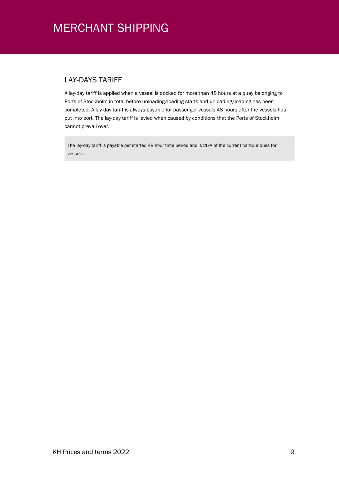#### LAY-DAYS TARIFF

A lay-day tariff is applied when a vessel is docked for more than 48 hours at a quay belonging to Ports of Stockholm in total before unloading/loading starts and unloading/loading has been completed. A lay-day tariff is always payable for passenger vessels 48 hours after the vessels has put into port. The lay-day tariff is levied when caused by conditions that the Ports of Stockholm cannot prevail over.

The lay-day tariff is payable per started 48 hour time period and is 25% of the current harbour dues for vessels.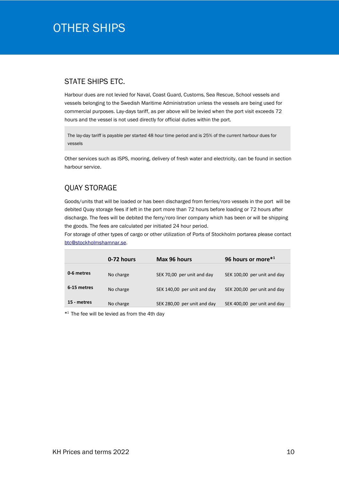## OTHER SHIPS

#### STATE SHIPS ETC.

Harbour dues are not levied for Naval, Coast Guard, Customs, Sea Rescue, School vessels and vessels belonging to the Swedish Maritime Administration unless the vessels are being used for commercial purposes. Lay-days tariff, as per above will be levied when the port visit exceeds 72 hours and the vessel is not used directly for official duties within the port.

The lay-day tariff is payable per started 48 hour time period and is 25% of the current harbour dues for vessels

Other services such as ISPS, mooring, delivery of fresh water and electricity, can be found in section harbour service.

### QUAY STORAGE

Goods/units that will be loaded or has been discharged from ferries/roro vessels in the port will be debited Quay storage fees if left in the port more than 72 hours before loading or 72 hours after discharge. The fees will be debited the ferry/roro liner company which has been or will be shipping the goods. The fees are calculated per initiated 24 hour period.

For storage of other types of cargo or other utilization of Ports of Stockholm portarea please contact btc@stockholmshamnar.se.

|             | 0-72 hours | Max 96 hours                | 96 hours or more*1          |
|-------------|------------|-----------------------------|-----------------------------|
| 0-6 metres  | No charge  | SEK 70,00 per unit and day  | SEK 100,00 per unit and day |
| 6-15 metres | No charge  | SEK 140,00 per unit and day | SEK 200,00 per unit and day |
| 15 - metres | No charge  | SEK 280,00 per unit and day | SEK 400,00 per unit and day |

\* <sup>1</sup> The fee will be levied as from the 4th day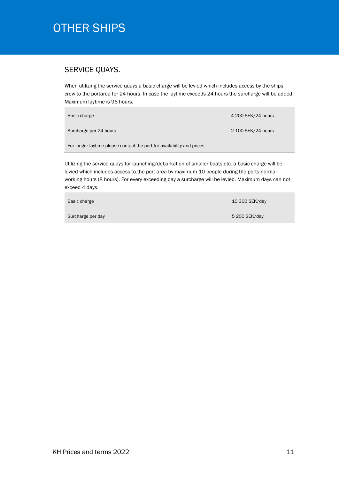## OTHER SHIPS

#### SERVICE QUAYS.

When utilizing the service quays a basic charge will be levied which includes access by the ships crew to the portarea for 24 hours. In case the laytime exceeds 24 hours the surcharge will be added. Maximum laytime is 96 hours.

| Basic charge                                                           | 4 200 SEK/24 hours |
|------------------------------------------------------------------------|--------------------|
| Surcharge per 24 hours                                                 | 2 100 SEK/24 hours |
| For longer laytime please contact the port for availability and prices |                    |

Utilizing the service quays for launching/debarkation of smaller boats etc. a basic charge will be levied which includes access to the port area by maximum 10 people during the ports normal working hours (8 hours). For every exceeding day a surcharge will be levied. Maximum days can not exceed 4 days.

| Basic charge      | 10 300 SEK/day |
|-------------------|----------------|
| Surcharge per day | 5 200 SEK/day  |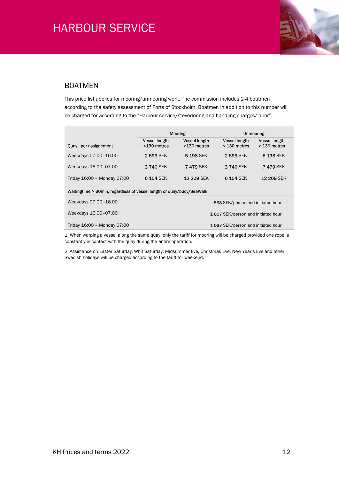

#### BOATMEN

This price list applies for mooring/unmooring work. The commission includes 2-4 boatmen according to the safety assessment of Ports of Stockholm. Boatmen in addition to this number will be charged for according to the "Harbour service/stevedoring and handling charges/labor".

|                                                                       | Mooring                             |                                     | <b>Unmooring</b>                       |                                      |  |
|-----------------------------------------------------------------------|-------------------------------------|-------------------------------------|----------------------------------------|--------------------------------------|--|
| <b>Ouay, per assignement</b>                                          | <b>Vessel length</b><br><130 metres | <b>Vessel length</b><br>>130 metres | <b>Vessel length</b><br>$<$ 130 metres | <b>Vessel length</b><br>> 130 metres |  |
| Weekdays 07.00-16.00                                                  | 2599 SEK                            | 5 198 SEK                           | 2599 SEK                               | 5 198 SEK                            |  |
| Weekdays 16.00-07.00                                                  | 3740 SEK                            | <b>7 479 SEK</b>                    | 3 740 SEK                              | <b>7 479 SEK</b>                     |  |
| Friday 16:00 - Monday 07:00                                           | 6 104 SEK                           | <b>12 209 SEK</b>                   | 6 104 SEK                              | <b>12 209 SEK</b>                    |  |
| Waitingtime > 30min, regardless of vessel length or quay/buoy/SeaWalk |                                     |                                     |                                        |                                      |  |
| Weekdays 07.00-16.00                                                  |                                     |                                     | 568 SEK/person and initiated hour      |                                      |  |
| Weekdays 16.00-07.00                                                  | 1007 SEK/person and initiated hour  |                                     |                                        |                                      |  |
| Friday 16:00 - Monday 07:00                                           | 1037 SEK/person and initiated hour  |                                     |                                        |                                      |  |

1. When warping a vessel along the same quay, only the tariff for mooring will be charged provided one rope is constantly in contact with the quay during the entire operation.

2. Assistance on Easter Saturday, Whit Saturday, Midsummer Eve, Christmas Eve, New Year's Eve and other Swedish holidays will be charged according to the tariff for weekend.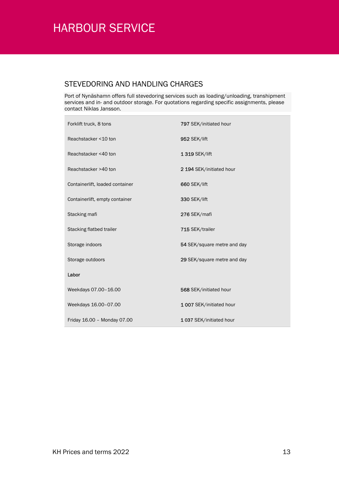Ė

#### STEVEDORING AND HANDLING CHARGES

Port of Nynäshamn offers full stevedoring services such as loading/unloading, transhipment services and in- and outdoor storage. For quotations regarding specific assignments, please contact Niklas Jansson.

| Forklift truck, 8 tons          | 797 SEK/initiated hour      |
|---------------------------------|-----------------------------|
| Reachstacker <10 ton            | 952 SEK/lift                |
| Reachstacker <40 ton            | 1 319 SEK/lift              |
| Reachstacker >40 ton            | 2 194 SEK/initiated hour    |
| Containerlift, loaded container | 660 SEK/lift                |
| Containerlift, empty container  | 330 SEK/lift                |
| Stacking mafi                   | 276 SEK/mafi                |
| Stacking flatbed trailer        | 715 SEK/trailer             |
| Storage indoors                 | 54 SEK/square metre and day |
| Storage outdoors                | 29 SEK/square metre and day |
| Labor                           |                             |
| Weekdays 07.00-16.00            | 568 SEK/initiated hour      |
| Weekdays 16.00-07.00            | 1007 SEK/initiated hour     |
| Friday 16.00 - Monday 07.00     | 1037 SEK/initiated hour     |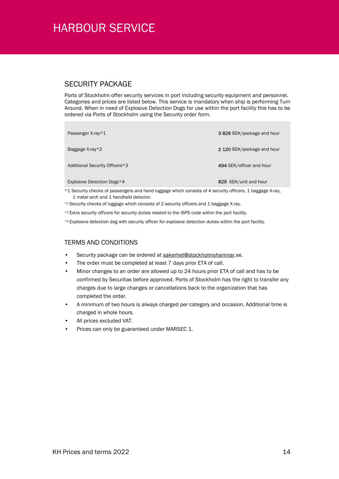### SECURITY PACKAGE

Ports of Stockholm offer security services in port including security equipment and personnel. Categories and prices are listed below. This service is mandatory when ship is performing Turn Around. When in need of Explosive Detection Dogs for use within the port facility this has to be ordered via Ports of Stockholm using the Security order form.

| Passenger X-ray*1              | 3826 SEK/package and hour  |
|--------------------------------|----------------------------|
| Baggage $X-ray*2$              | 2 120 SEK/package and hour |
| Additional Security Officers*3 | 494 SEK/officer and hour   |
| Explosive Detection Dogs*4     | 829 SEK/unit and hour      |

\*1 Security checks of passengers and hand luggage which consists of 4 security officers, 1 baggage X-ray, 1 metal arch and 1 handheld detector.

\*2 Security checks of luggage which consists of 2 security officers and 1 baggage X-ray.

\*<sup>3</sup> Extra security officers for security duties related to the ISPS code within the port facility.

\*4 Explosive detection dog with security officer for explosive detection duties within the port facility.

#### TERMS AND CONDITIONS

- Security package can be ordered at sakerhet@stockholmshamnar.se.
- The order must be completed at least 7 days prior ETA of call.
- Minor changes to an order are allowed up to 24 hours prior ETA of call and has to be confirmed by Securitas before approved. Ports of Stockholm has the right to transfer any charges due to large changes or cancellations back to the organization that has completed the order.
- A minimum of two hours is always charged per category and occasion. Additional time is charged in whole hours.
- All prices excluded VAT.
- Prices can only be guaranteed under MARSEC 1.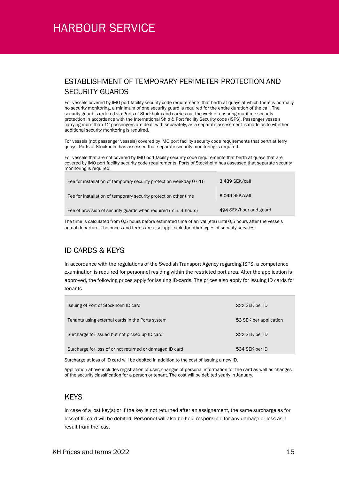### ESTABLISHMENT OF TEMPORARY PERIMETER PROTECTION AND SECURITY GUARDS

For vessels covered by IMO port facility security code requirements that berth at quays at which there is normally no security monitoring, a minimum of one security guard is required for the entire duration of the call. The security guard is ordered via Ports of Stockholm and carries out the work of ensuring maritime security protection in accordance with the International Ship & Port facility Security code (ISPS). Passenger vessels carrying more than 12 passengers are dealt with separately, as a separate assessment is made as to whether additional security monitoring is required.

For vessels (not passenger vessels) covered by IMO port facility security code requirements that berth at ferry quays, Ports of Stockholm has assessed that separate security monitoring is required.

For vessels that are not covered by IMO port facility security code requirements that berth at quays that are covered by IMO port facility security code requirements, Ports of Stockholm has assessed that separate security monitoring is required.

| Fee for installation of temporary security protection weekday 07-16 | <b>3 439 SEK/call</b>  |
|---------------------------------------------------------------------|------------------------|
| Fee for installation of temporary security protection other time    | 6 099 SEK/call         |
| Fee of provision of security guards when required (min. 4 hours)    | 494 SEK/hour and guard |

The time is calculated from 0,5 hours before estimated tima of arrival (eta) until 0,5 hours after the vessels actual departure. The prices and terms are also applicable for other types of security services.

### ID CARDS & KEYS

In accordance with the regulations of the Swedish Transport Agency regarding ISPS, a competence examination is required for personnel residing within the restricted port area. After the application is approved, the following prices apply for issuing ID-cards. The prices also apply for issuing ID cards for tenants.

| Issuing of Port of Stockholm ID card                     | 322 SEK per ID         |
|----------------------------------------------------------|------------------------|
| Tenants using external cards in the Ports system         | 53 SEK per application |
| Surcharge for issued but not picked up ID card           | 322 SEK per ID         |
| Surcharge for loss of or not returned or damaged ID card | 534 SEK per ID         |

Surcharge at loss of ID card will be debited in addition to the cost of issuing a new ID.

Application above includes registration of user, changes of personal information for the card as well as changes of the security classification for a person or tenant. The cost will be debited yearly in January.

#### **KFYS**

In case of a lost key(s) or if the key is not returned after an assignement, the same surcharge as for loss of ID card will be debited. Personnel will also be held responsible for any damage or loss as a result fram the loss.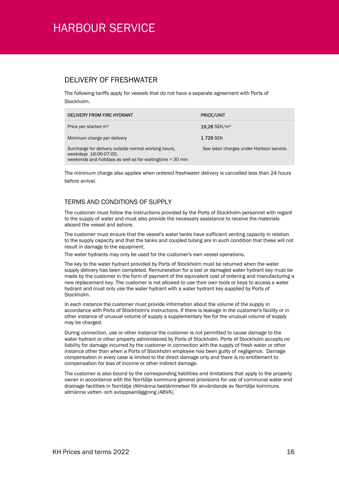#### DELIVERY OF FRESHWATER

The following tariffs apply for vessels that do not have a separate agreement with Ports of Stockholm.

| DELIVERY FROM FIRE HYDRANT                                                                                                                  | <b>PRICE/UNIT</b>                        |
|---------------------------------------------------------------------------------------------------------------------------------------------|------------------------------------------|
| Price per started m <sup>3</sup>                                                                                                            | $19,26$ SEK/m <sup>3</sup>               |
| Minimum charge per delivery                                                                                                                 | 1 729 SEK                                |
| Surcharge for delivery outside normal working hours,<br>weekdays 16:00-07:00.<br>weekends and holidays as well as for waiting time > 30 min | See labor charges under Harbour service. |

The minimum charge also applies when ordered freshwater delivery is cancelled less than 24 hours before arrival.

#### TERMS AND CONDITIONS OF SUPPLY

The customer must follow the instructions provided by the Ports of Stockholm personnel with regard to the supply of water and must also provide the necessary assistance to receive the materials aboard the vessel and ashore.

The customer must ensure that the vessel's water tanks have sufficient venting capacity in relation to the supply capacity and that the tanks and coupled tubing are in such condition that these will not result in damage to the equipment.

The water hydrants may only be used for the customer's own vessel operations.

The key to the water hydrant provided by Ports of Stockholm must be returned when the water supply delivery has been completed. Remuneration for a lost or damaged water hydrant key must be made by the customer in the form of payment of the equivalent cost of ordering and manufacturing a new replacement key. The customer is not allowed to use their own tools or keys to access a water hydrant and must only use the water hydrant with a water hydrant key supplied by Ports of Stockholm.

In each instance the customer must provide information about the volume of the supply in accordance with Ports of Stockholm's instructions. If there is leakage in the customer's facility or in other instance of unusual volume of supply a supplementary fee for the unusual volume of supply may be charged.

During connection, use or other instance the customer is not permitted to cause damage to the water hydrant or other property administered by Ports of Stockholm. Ports of Stockholm accepts no liability for damage incurred by the customer in connection with the supply of fresh water or other instance other than when a Ports of Stockholm employee has been guilty of negligence. Damage compensation in every case is limited to the direct damage only and there is no entitlement to compensation for loss of income or other indirect damage.

The customer is also bound by the corresponding liabilities and limitations that apply to the property owner in accordance with the Norrtälje kommuns general provisions for use of communal water and drainage facilities in Norrtälje (Allmänna bestämmelser för användande av Norrtälje kommuns allmänna vatten- och avloppsanläggning (ABVA).